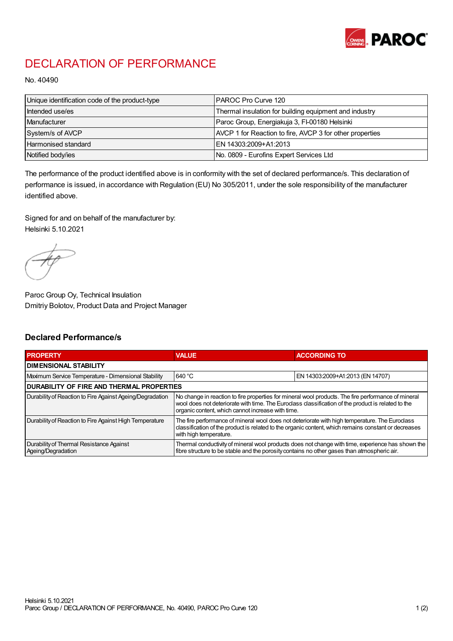

## DECLARATION OF PERFORMANCE

No. 40490

| Unique identification code of the product-type | IPAROC Pro Curve 120                                     |
|------------------------------------------------|----------------------------------------------------------|
| Intended use/es                                | Thermal insulation for building equipment and industry   |
| Manufacturer                                   | Paroc Group, Energiakuja 3, FI-00180 Helsinki            |
| System/s of AVCP                               | AVCP 1 for Reaction to fire, AVCP 3 for other properties |
| Harmonised standard                            | IEN 14303:2009+A1:2013                                   |
| Notified body/ies                              | No. 0809 - Eurofins Expert Services Ltd                  |

The performance of the product identified above is in conformity with the set of declared performance/s. This declaration of performance is issued, in accordance with Regulation (EU) No 305/2011, under the sole responsibility of the manufacturer identified above.

Signed for and on behalf of the manufacturer by: Helsinki 5.10.2021

Paroc Group Oy, Technical Insulation Dmitriy Bolotov, Product Data and Project Manager

## Declared Performance/s

| <b>PROPERTY</b>                                                | <b>VALUE</b>                                                                                                                                                                                                                                                   | <b>ACCORDING TO</b>              |  |
|----------------------------------------------------------------|----------------------------------------------------------------------------------------------------------------------------------------------------------------------------------------------------------------------------------------------------------------|----------------------------------|--|
| <b>DIMENSIONAL STABILITY</b>                                   |                                                                                                                                                                                                                                                                |                                  |  |
| Maximum Service Temperature - Dimensional Stability            | 640 °C                                                                                                                                                                                                                                                         | EN 14303:2009+A1:2013 (EN 14707) |  |
| <b>DURABILITY OF FIRE AND THERMAL PROPERTIES</b>               |                                                                                                                                                                                                                                                                |                                  |  |
| Durability of Reaction to Fire Against Ageing/Degradation      | No change in reaction to fire properties for mineral wool products. The fire performance of mineral<br>wool does not deteriorate with time. The Euroclass classification of the product is related to the<br>organic content, which cannot increase with time. |                                  |  |
| Durability of Reaction to Fire Against High Temperature        | The fire performance of mineral wool does not deteriorate with high temperature. The Euroclass<br>classification of the product is related to the organic content, which remains constant or decreases<br>with high temperature.                               |                                  |  |
| Durability of Thermal Resistance Against<br>Ageing/Degradation | Thermal conductivity of mineral wool products does not change with time, experience has shown the<br>fibre structure to be stable and the porosity contains no other gases than atmospheric air.                                                               |                                  |  |